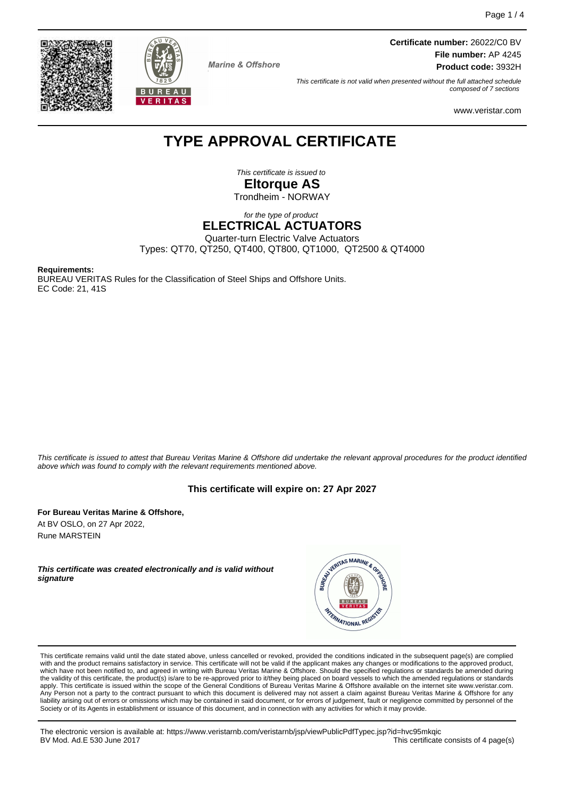



**Marine & Offshore** 

**Certificate number:** 26022/C0 BV **File number:** AP 4245 **Product code:** 3932H

This certificate is not valid when presented without the full attached schedule composed of 7 sections

www.veristar.com

## **TYPE APPROVAL CERTIFICATE**

This certificate is issued to **Eltorque AS**

Trondheim - NORWAY

for the type of product

## **ELECTRICAL ACTUATORS**

Quarter-turn Electric Valve Actuators

Types: QT70, QT250, QT400, QT800, QT1000, QT2500 & QT4000

**Requirements:**

BUREAU VERITAS Rules for the Classification of Steel Ships and Offshore Units. EC Code: 21, 41S

This certificate is issued to attest that Bureau Veritas Marine & Offshore did undertake the relevant approval procedures for the product identified above which was found to comply with the relevant requirements mentioned above.

## **This certificate will expire on: 27 Apr 2027**

**For Bureau Veritas Marine & Offshore,** At BV OSLO, on 27 Apr 2022, Rune MARSTEIN

**This certificate was created electronically and is valid without signature**



This certificate remains valid until the date stated above, unless cancelled or revoked, provided the conditions indicated in the subsequent page(s) are complied with and the product remains satisfactory in service. This certificate will not be valid if the applicant makes any changes or modifications to the approved product, which have not been notified to, and agreed in writing with Bureau Veritas Marine & Offshore. Should the specified regulations or standards be amended during<br>the validity of this certificate, the product(s) is/are to be re apply. This certificate is issued within the scope of the General Conditions of Bureau Veritas Marine & Offshore available on the internet site www.veristar.com. Any Person not a party to the contract pursuant to which this document is delivered may not assert a claim against Bureau Veritas Marine & Offshore for any liability arising out of errors or omissions which may be contained in said document, or for errors of judgement, fault or negligence committed by personnel of the<br>Society or of its Agents in establishment or issuance of t

The electronic version is available at: https://www.veristarnb.com/veristarnb/jsp/viewPublicPdfTypec.jsp?id=hvc95mkqic BV Mod. Ad.E 530 June 2017 **This certificate consists of 4 page(s) This certificate consists of 4 page(s)**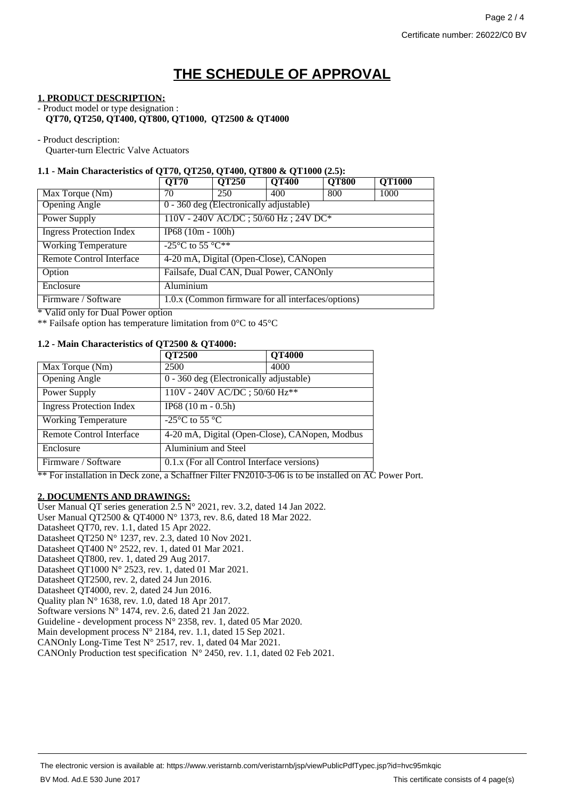# **THE SCHEDULE OF APPROVAL**

#### **1. PRODUCT DESCRIPTION:**

- Product model or type designation : **QT70, QT250, QT400, QT800, QT1000, QT2500 & QT4000**

- Product description:

Quarter-turn Electric Valve Actuators

### **1.1 - Main Characteristics of QT70, QT250, QT400, QT800 & QT1000 (2.5):**

| <b>QT70</b>                             | <b>QT250</b> | <b>QT400</b> | <b>QT800</b>                            | <b>QT1000</b>                                      |
|-----------------------------------------|--------------|--------------|-----------------------------------------|----------------------------------------------------|
| 70                                      | 250          | 400          | 800                                     | 1000                                               |
|                                         |              |              |                                         |                                                    |
| 110V - 240V AC/DC; 50/60 Hz; 24V DC*    |              |              |                                         |                                                    |
| $IP68(10m - 100h)$                      |              |              |                                         |                                                    |
| $-25^{\circ}$ C to 55 $\circ$ C**       |              |              |                                         |                                                    |
| 4-20 mA, Digital (Open-Close), CANopen  |              |              |                                         |                                                    |
| Failsafe, Dual CAN, Dual Power, CANOnly |              |              |                                         |                                                    |
| Aluminium                               |              |              |                                         |                                                    |
|                                         |              |              |                                         |                                                    |
|                                         |              |              | 0 - 360 deg (Electronically adjustable) | 1.0.x (Common firmware for all interfaces/options) |

Valid only for Dual Power option

\*\* Failsafe option has temperature limitation from 0°C to 45°C

### **1.2 - Main Characteristics of QT2500 & QT4000:**

|                                 | <b>QT2500</b>                                       | <b>QT4000</b> |  |
|---------------------------------|-----------------------------------------------------|---------------|--|
| Max Torque (Nm)                 | 2500                                                | 4000          |  |
| <b>Opening Angle</b>            | 0 - 360 deg (Electronically adjustable)             |               |  |
| Power Supply                    | 110V - 240V AC/DC; 50/60 Hz**                       |               |  |
| <b>Ingress Protection Index</b> | $IP68(10 m - 0.5h)$                                 |               |  |
| <b>Working Temperature</b>      | -25 $\mathrm{^{\circ}C}$ to 55 $\mathrm{^{\circ}C}$ |               |  |
| Remote Control Interface        | 4-20 mA, Digital (Open-Close), CANopen, Modbus      |               |  |
| Enclosure                       | Aluminium and Steel                                 |               |  |
| Firmware / Software             | 0.1.x (For all Control Interface versions)          |               |  |

\*\* For installation in Deck zone, a Schaffner Filter FN2010-3-06 is to be installed on AC Power Port.

#### **2. DOCUMENTS AND DRAWINGS:**

User Manual QT series generation 2.5 N° 2021, rev. 3.2, dated 14 Jan 2022. User Manual QT2500 & QT4000 N° 1373, rev. 8.6, dated 18 Mar 2022. Datasheet QT70, rev. 1.1, dated 15 Apr 2022. Datasheet QT250 N° 1237, rev. 2.3, dated 10 Nov 2021. Datasheet QT400 N° 2522, rev. 1, dated 01 Mar 2021. Datasheet QT800, rev. 1, dated 29 Aug 2017. Datasheet QT1000 N° 2523, rev. 1, dated 01 Mar 2021. Datasheet QT2500, rev. 2, dated 24 Jun 2016. Datasheet QT4000, rev. 2, dated 24 Jun 2016. Quality plan N° 1638, rev. 1.0, dated 18 Apr 2017. Software versions  $N^{\circ}$  1474, rev. 2.6, dated 21 Jan 2022. Guideline - development process N° 2358, rev. 1, dated 05 Mar 2020. Main development process N° 2184, rev. 1.1, dated 15 Sep 2021. CANOnly Long-Time Test N° 2517, rev. 1, dated 04 Mar 2021. CANOnly Production test specification N° 2450, rev. 1.1, dated 02 Feb 2021.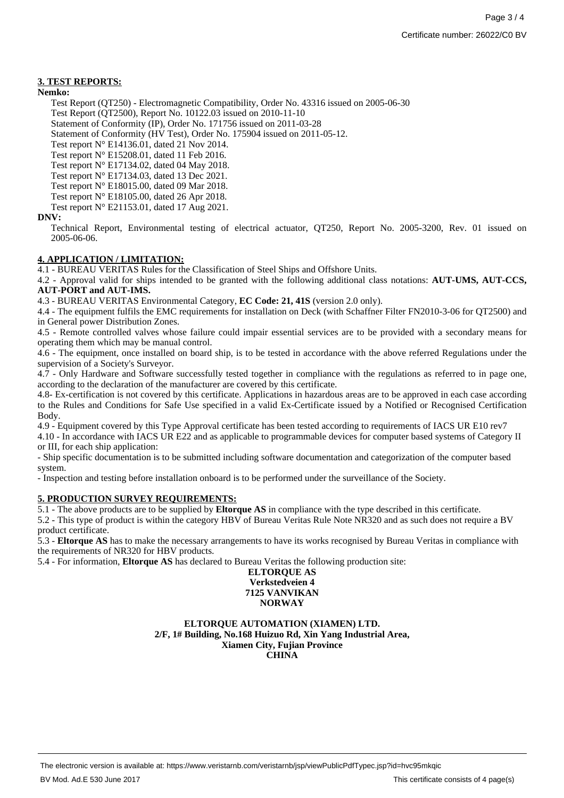## **3. TEST REPORTS:**

#### **Nemko:**

Test Report (QT250) - Electromagnetic Compatibility, Order No. 43316 issued on 2005-06-30 Test Report (QT2500), Report No. 10122.03 issued on 2010-11-10

Statement of Conformity (IP), Order No. 171756 issued on 2011-03-28

Statement of Conformity (HV Test), Order No. 175904 issued on 2011-05-12.

Test report N° E14136.01, dated 21 Nov 2014.

Test report N° E15208.01, dated 11 Feb 2016.

Test report N° E17134.02, dated 04 May 2018.

Test report N° E17134.03, dated 13 Dec 2021.

Test report N° E18015.00, dated 09 Mar 2018.

Test report N° E18105.00, dated 26 Apr 2018. Test report N° E21153.01, dated 17 Aug 2021.

### **DNV:**

Technical Report, Environmental testing of electrical actuator, QT250, Report No. 2005-3200, Rev. 01 issued on 2005-06-06.

## **4. APPLICATION / LIMITATION:**

4.1 - BUREAU VERITAS Rules for the Classification of Steel Ships and Offshore Units.

4.2 - Approval valid for ships intended to be granted with the following additional class notations: **AUT-UMS, AUT-CCS, AUT-PORT and AUT-IMS.**

4.3 - BUREAU VERITAS Environmental Category, **EC Code: 21, 41S** (version 2.0 only).

4.4 - The equipment fulfils the EMC requirements for installation on Deck (with Schaffner Filter FN2010-3-06 for QT2500) and in General power Distribution Zones.

4.5 - Remote controlled valves whose failure could impair essential services are to be provided with a secondary means for operating them which may be manual control.

4.6 - The equipment, once installed on board ship, is to be tested in accordance with the above referred Regulations under the supervision of a Society's Surveyor.

4.7 - Only Hardware and Software successfully tested together in compliance with the regulations as referred to in page one, according to the declaration of the manufacturer are covered by this certificate.

4.8- Ex-certification is not covered by this certificate. Applications in hazardous areas are to be approved in each case according to the Rules and Conditions for Safe Use specified in a valid Ex-Certificate issued by a Notified or Recognised Certification Body.

4.9 - Equipment covered by this Type Approval certificate has been tested according to requirements of IACS UR E10 rev7

4.10 - In accordance with IACS UR E22 and as applicable to programmable devices for computer based systems of Category II or III, for each ship application:

- Ship specific documentation is to be submitted including software documentation and categorization of the computer based system.

- Inspection and testing before installation onboard is to be performed under the surveillance of the Society.

## **5. PRODUCTION SURVEY REQUIREMENTS:**

5.1 - The above products are to be supplied by **Eltorque AS** in compliance with the type described in this certificate.

5.2 - This type of product is within the category HBV of Bureau Veritas Rule Note NR320 and as such does not require a BV product certificate.

5.3 - **Eltorque AS** has to make the necessary arrangements to have its works recognised by Bureau Veritas in compliance with the requirements of NR320 for HBV products.

5.4 - For information, **Eltorque AS** has declared to Bureau Veritas the following production site:

#### **ELTORQUE AS Verkstedveien 4 7125 VANVIKAN NORWAY**

**ELTORQUE AUTOMATION (XIAMEN) LTD. 2/F, 1# Building, No.168 Huizuo Rd, Xin Yang Industrial Area, Xiamen City, Fujian Province CHINA**